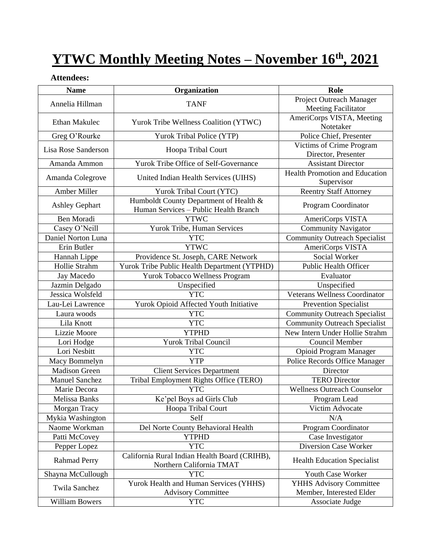# **YTWC Monthly Meeting Notes – November 16 th, 2021**

#### **Attendees:**

| <b>Name</b>           | Organization                                                                    | Role                                                       |
|-----------------------|---------------------------------------------------------------------------------|------------------------------------------------------------|
| Annelia Hillman       | <b>TANF</b>                                                                     | Project Outreach Manager<br><b>Meeting Facilitator</b>     |
| <b>Ethan Makulec</b>  | Yurok Tribe Wellness Coalition (YTWC)                                           | AmeriCorps VISTA, Meeting<br>Notetaker                     |
| Greg O'Rourke         | Yurok Tribal Police (YTP)                                                       | Police Chief, Presenter                                    |
| Lisa Rose Sanderson   | Hoopa Tribal Court                                                              | Victims of Crime Program<br>Director, Presenter            |
| Amanda Ammon          | Yurok Tribe Office of Self-Governance                                           | <b>Assistant Director</b>                                  |
| Amanda Colegrove      | United Indian Health Services (UIHS)                                            | <b>Health Promotion and Education</b><br>Supervisor        |
| Amber Miller          | Yurok Tribal Court (YTC)                                                        | <b>Reentry Staff Attorney</b>                              |
| <b>Ashley Gephart</b> | Humboldt County Department of Health &<br>Human Services - Public Health Branch | Program Coordinator                                        |
| Ben Moradi            | <b>YTWC</b>                                                                     | AmeriCorps VISTA                                           |
| Casey O'Neill         | Yurok Tribe, Human Services                                                     | <b>Community Navigator</b>                                 |
| Daniel Norton Luna    | <b>YTC</b>                                                                      | <b>Community Outreach Specialist</b>                       |
| Erin Butler           | <b>YTWC</b>                                                                     | AmeriCorps VISTA                                           |
| Hannah Lippe          | Providence St. Joseph, CARE Network                                             | Social Worker                                              |
| Hollie Strahm         | Yurok Tribe Public Health Department (YTPHD)                                    | <b>Public Health Officer</b>                               |
| Jay Macedo            | Yurok Tobacco Wellness Program                                                  | Evaluator                                                  |
| Jazmin Delgado        | Unspecified                                                                     | Unspecified                                                |
| Jessica Wolsfeld      | <b>YTC</b>                                                                      | <b>Veterans Wellness Coordinator</b>                       |
| Lau-Lei Lawrence      | Yurok Opioid Affected Youth Initiative                                          | <b>Prevention Specialist</b>                               |
| Laura woods           | <b>YTC</b>                                                                      | <b>Community Outreach Specialist</b>                       |
| Lila Knott            | <b>YTC</b>                                                                      | <b>Community Outreach Specialist</b>                       |
| Lizzie Moore          | <b>YTPHD</b>                                                                    | New Intern Under Hollie Strahm                             |
| Lori Hodge            | <b>Yurok Tribal Council</b>                                                     | Council Member                                             |
| Lori Nesbitt          | <b>YTC</b>                                                                      | Opioid Program Manager                                     |
| Macy Bommelyn         | <b>YTP</b>                                                                      | Police Records Office Manager                              |
| <b>Madison Green</b>  | <b>Client Services Department</b>                                               | Director                                                   |
| <b>Manuel Sanchez</b> | Tribal Employment Rights Office (TERO)                                          | <b>TERO Director</b>                                       |
| Marie Decora          | <b>YTC</b>                                                                      | <b>Wellness Outreach Counselor</b>                         |
| Melissa Banks         | Ke'pel Boys ad Girls Club                                                       | Program Lead                                               |
| Morgan Tracy          | Hoopa Tribal Court                                                              | Victim Advocate                                            |
| Mykia Washington      | Self                                                                            | N/A                                                        |
| Naome Workman         | Del Norte County Behavioral Health                                              | Program Coordinator                                        |
| Patti McCovey         | <b>YTPHD</b>                                                                    | Case Investigator                                          |
| Pepper Lopez          | <b>YTC</b>                                                                      | Diversion Case Worker                                      |
| <b>Rahmad Perry</b>   | California Rural Indian Health Board (CRIHB),<br>Northern California TMAT       | <b>Health Education Specialist</b>                         |
| Shayna McCullough     | <b>YTC</b>                                                                      | Youth Case Worker                                          |
| <b>Twila Sanchez</b>  | Yurok Health and Human Services (YHHS)<br><b>Advisory Committee</b>             | <b>YHHS Advisory Committee</b><br>Member, Interested Elder |
| <b>William Bowers</b> | <b>YTC</b>                                                                      | Associate Judge                                            |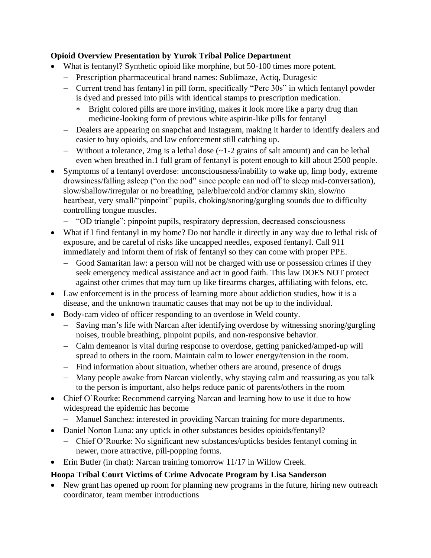#### **Opioid Overview Presentation by Yurok Tribal Police Department**

- What is fentanyl? Synthetic opioid like morphine, but 50-100 times more potent.
	- − Prescription pharmaceutical brand names: Sublimaze, Actiq, Duragesic
	- − Current trend has fentanyl in pill form, specifically "Perc 30s" in which fentanyl powder is dyed and pressed into pills with identical stamps to prescription medication.
		- Bright colored pills are more inviting, makes it look more like a party drug than medicine-looking form of previous white aspirin-like pills for fentanyl
	- − Dealers are appearing on snapchat and Instagram, making it harder to identify dealers and easier to buy opioids, and law enforcement still catching up.
	- − Without a tolerance, 2mg is a lethal dose (~1-2 grains of salt amount) and can be lethal even when breathed in.1 full gram of fentanyl is potent enough to kill about 2500 people.
- Symptoms of a fentanyl overdose: unconsciousness/inability to wake up, limp body, extreme drowsiness/falling asleep ("on the nod" since people can nod off to sleep mid-conversation), slow/shallow/irregular or no breathing, pale/blue/cold and/or clammy skin, slow/no heartbeat, very small/"pinpoint" pupils, choking/snoring/gurgling sounds due to difficulty controlling tongue muscles.
	- − "OD triangle": pinpoint pupils, respiratory depression, decreased consciousness
- What if I find fentanyl in my home? Do not handle it directly in any way due to lethal risk of exposure, and be careful of risks like uncapped needles, exposed fentanyl. Call 911 immediately and inform them of risk of fentanyl so they can come with proper PPE.
	- − Good Samaritan law: a person will not be charged with use or possession crimes if they seek emergency medical assistance and act in good faith. This law DOES NOT protect against other crimes that may turn up like firearms charges, affiliating with felons, etc.
- Law enforcement is in the process of learning more about addiction studies, how it is a disease, and the unknown traumatic causes that may not be up to the individual.
- Body-cam video of officer responding to an overdose in Weld county.
	- − Saving man's life with Narcan after identifying overdose by witnessing snoring/gurgling noises, trouble breathing, pinpoint pupils, and non-responsive behavior.
	- − Calm demeanor is vital during response to overdose, getting panicked/amped-up will spread to others in the room. Maintain calm to lower energy/tension in the room.
	- − Find information about situation, whether others are around, presence of drugs
	- − Many people awake from Narcan violently, why staying calm and reassuring as you talk to the person is important, also helps reduce panic of parents/others in the room
- Chief O'Rourke: Recommend carrying Narcan and learning how to use it due to how widespread the epidemic has become
	- − Manuel Sanchez: interested in providing Narcan training for more departments.
- Daniel Norton Luna: any uptick in other substances besides opioids/fentanyl?
	- − Chief O'Rourke: No significant new substances/upticks besides fentanyl coming in newer, more attractive, pill-popping forms.
- Erin Butler (in chat): Narcan training tomorrow 11/17 in Willow Creek.

## **Hoopa Tribal Court Victims of Crime Advocate Program by Lisa Sanderson**

• New grant has opened up room for planning new programs in the future, hiring new outreach coordinator, team member introductions